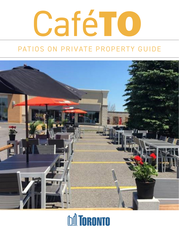

## PATIOS ON PRIVATE PROPERTY GUIDE



## **DA TORONTO**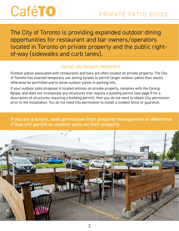The City of Toronto is providing expanded outdoor dining opportunities for restaurant and bar owners/operators located in Toronto on private property and the public rightof-way (sidewalks and curb lanes).

### PATIOS ON PRIVATE PROPERTY

Outdoor patios associated with restaurants and bars are often located on private property. The City of Toronto has enacted temporary use zoning bylaws to permit larger outdoor patios than would otherwise be permitted and to allow outdoor patios in parking lots.

If your outdoor patio proposal is located entirely on private property, complies with the Zoning Bylaw, and does not incorporate any structures that require a building permit (see page 5 for a description of structures requiring a building permit), then you do not need to obtain City permission prior to the installation. You do not need City permission to install a modest fence or guardrail.

If you are a tenant, seek permission from property management to determine if they will permit an outdoor patio on their property.

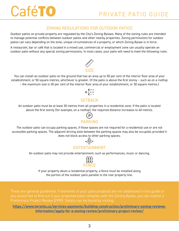### ZONING REGULATIONS FOR OUTDOOR PATIOS

Outdoor patios on private property are regulated by the City's Zoning Bylaws. Many of the zoning rules are intended to manage potential conflicts between outdoor patios and other nearby properties. Zoning permissions for outdoor patios can vary depending on the zone, unique circumstances of a property, or which Zoning Bylaw is in force.

A restaurant, bar or café that is located in a mixed use, commercial or employment zone can usually operate an outdoor patio without any special zoning permissions. In most cases, your patio will need to meet the following rules:



You can install an outdoor patio on the ground that has an area up to 50 per cent of the interior floor area of your establishment, or 50 square metres, whichever is greater. (If the patio is above the first storey – such as on a rooftop – the maximum size is 30 per cent of the interior floor area of your establishment, or 30 square metres.)



### **SFTBACK**

An outdoor patio must be at least 30 metres from all properties in a residential zone. If the patio is located above the first storey (for example, on a rooftop), the required distance increases to 40 metres.

## $(\mathsf{P})$ PARKING

The outdoor patio can occupy parking spaces, if those spaces are not required for a residential use or are not accessible parking spaces. The adjacent driving aisle between the parking spaces may also be occupied, provided it does not block access to other parking spaces.



An outdoor patio may not provide entertainment, such as performances, music or dancing.



If your property abuts a residential property, a fence must be installed along the portion of the outdoor patio parallel to the rear property line.

These are general guidelines. If elements of your patio proposal are not addressed in this guide or you would like to find out if your proposed patio complies with the Zoning Bylaw, you can submit a

**[https://www.toronto.ca/services-payments/building-construction/preliminary-zoning-reviews](https://www.toronto.ca/services-payments/building-construction/preliminary-zoning-reviews-information/apply-for-a-zoning-review/preliminary-project-review/)[information/apply-for-a-zoning-review/preliminary-project-review/](https://www.toronto.ca/services-payments/building-construction/preliminary-zoning-reviews-information/apply-for-a-zoning-review/preliminary-project-review/)**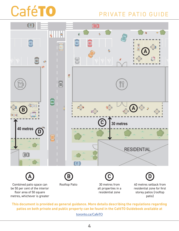

**This document is provided as general guidance. More details describing the regulations regarding patios on both private and public property can be found in the CaféTO Guidebook available at** [toronto.ca/CafeTO](https://www.toronto.ca/business-economy/business-operation-growth/covid-19-economic-support-recovery-for-businesses/covid-19-cafeto/)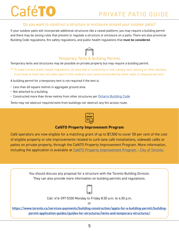### Do you want to construct a structure or enclosure around your outdoor patio?

If your outdoor patio will incorporate additional structures like a raised platform, you may require a building permit and there may be zoning rules that prevent or regulate a structure or enclosure on a patio. There are also provincial Building Code regulations, fire safety regulations, and public health regulations that **must be considered**.

## Temporary Tents & Building Permits

Temporary tents and structures may be possible on private property but may require a building permit.

\*\* To meet current public health regulations, an area that is covered by a roof, canopy, tent, awning or other element, must have at least two full sides open to the outdoors and cannot be blocked by other walls or physical barriers.

A building permit for a temporary tent is not required if the tent is:

- Less than 60 square metres in aggregate ground area
- Not attached to a building
- Constructed more than three metres from other structures per [Ontario Building Code](https://www.ontario.ca/page/ontarios-building-code)

Tents may not obstruct required exits from buildings nor obstruct any fire access route.



### **CaféTO Property Improvement Program**

Café operators are now eligible for a matching grant of up to \$7,500 to cover 50 per cent of the cost of eligible property or site improvements related to curb lane café installations, sidewalk cafés or patios on private property, through the CaféTO Property Improvement Program. More information, including the application is available at CaféTO Property Improvement Program - City of Toronto.

> You should discuss any proposal for a structure with the Toronto Building Division. They can also provide more information on building permits and regulations.

Call: 416-397-5330 Monday to Friday 8:30 a.m. to 4:30 p.m.

or

**[https://www.toronto.ca/services-payments/building-construction/apply-for-a-building-permit/building](https://www.toronto.ca/services-payments/building-construction/apply-for-a-building-permit/building-permit-application-guides/guides-for-structures/tents-and-temporary-structures/)[permit-application-guides/guides-for-structures/tents-and-temporary-structures/](https://www.toronto.ca/services-payments/building-construction/apply-for-a-building-permit/building-permit-application-guides/guides-for-structures/tents-and-temporary-structures/)**